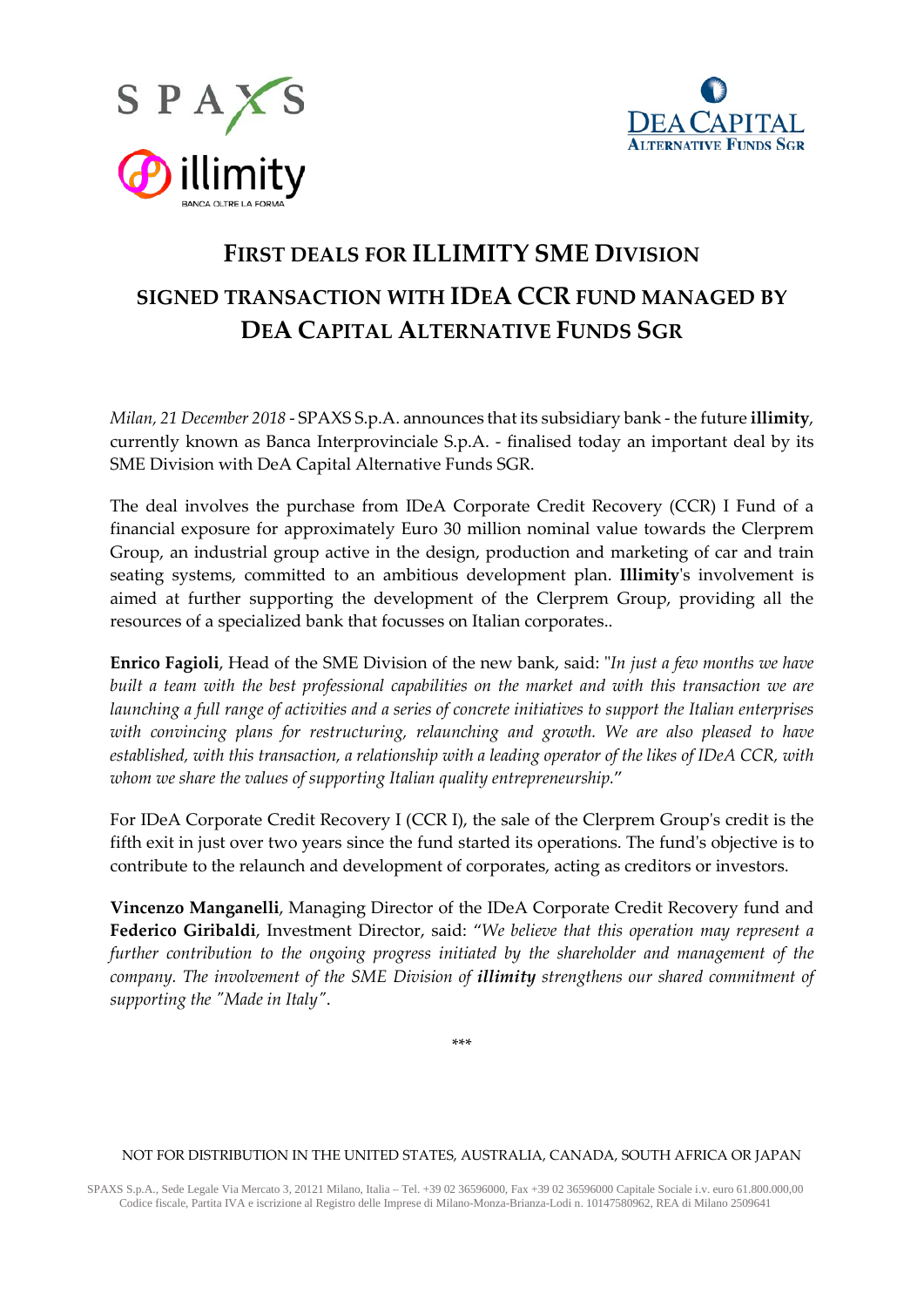



# **FIRST DEALS FOR ILLIMITY SME DIVISION SIGNED TRANSACTION WITH IDEA CCR FUND MANAGED BY DEA CAPITAL ALTERNATIVE FUNDS SGR**

*Milan, 21 December 2018* - SPAXS S.p.A. announces that its subsidiary bank - the future **illimity**, currently known as Banca Interprovinciale S.p.A. - finalised today an important deal by its SME Division with DeA Capital Alternative Funds SGR.

The deal involves the purchase from IDeA Corporate Credit Recovery (CCR) I Fund of a financial exposure for approximately Euro 30 million nominal value towards the Clerprem Group, an industrial group active in the design, production and marketing of car and train seating systems, committed to an ambitious development plan. **Illimity**'s involvement is aimed at further supporting the development of the Clerprem Group, providing all the resources of a specialized bank that focusses on Italian corporates..

**Enrico Fagioli**, Head of the SME Division of the new bank, said: "*In just a few months we have built a team with the best professional capabilities on the market and with this transaction we are launching a full range of activities and a series of concrete initiatives to support the Italian enterprises with convincing plans for restructuring, relaunching and growth. We are also pleased to have established, with this transaction, a relationship with a leading operator of the likes of IDeA CCR, with whom we share the values of supporting Italian quality entrepreneurship.*"

For IDeA Corporate Credit Recovery I (CCR I), the sale of the Clerprem Group's credit is the fifth exit in just over two years since the fund started its operations. The fund's objective is to contribute to the relaunch and development of corporates, acting as creditors or investors.

**Vincenzo Manganelli**, Managing Director of the IDeA Corporate Credit Recovery fund and **Federico Giribaldi**, Investment Director, said: "*We believe that this operation may represent a further contribution to the ongoing progress initiated by the shareholder and management of the company. The involvement of the SME Division of illimity strengthens our shared commitment of supporting the "Made in Italy"*.

\*\*\*

#### NOT FOR DISTRIBUTION IN THE UNITED STATES, AUSTRALIA, CANADA, SOUTH AFRICA OR JAPAN

SPAXS S.p.A., Sede Legale Via Mercato 3, 20121 Milano, Italia – Tel. +39 02 36596000, Fax +39 02 36596000 Capitale Sociale i.v. euro 61.800.000,00 Codice fiscale, Partita IVA e iscrizione al Registro delle Imprese di Milano-Monza-Brianza-Lodi n. 10147580962, REA di Milano 2509641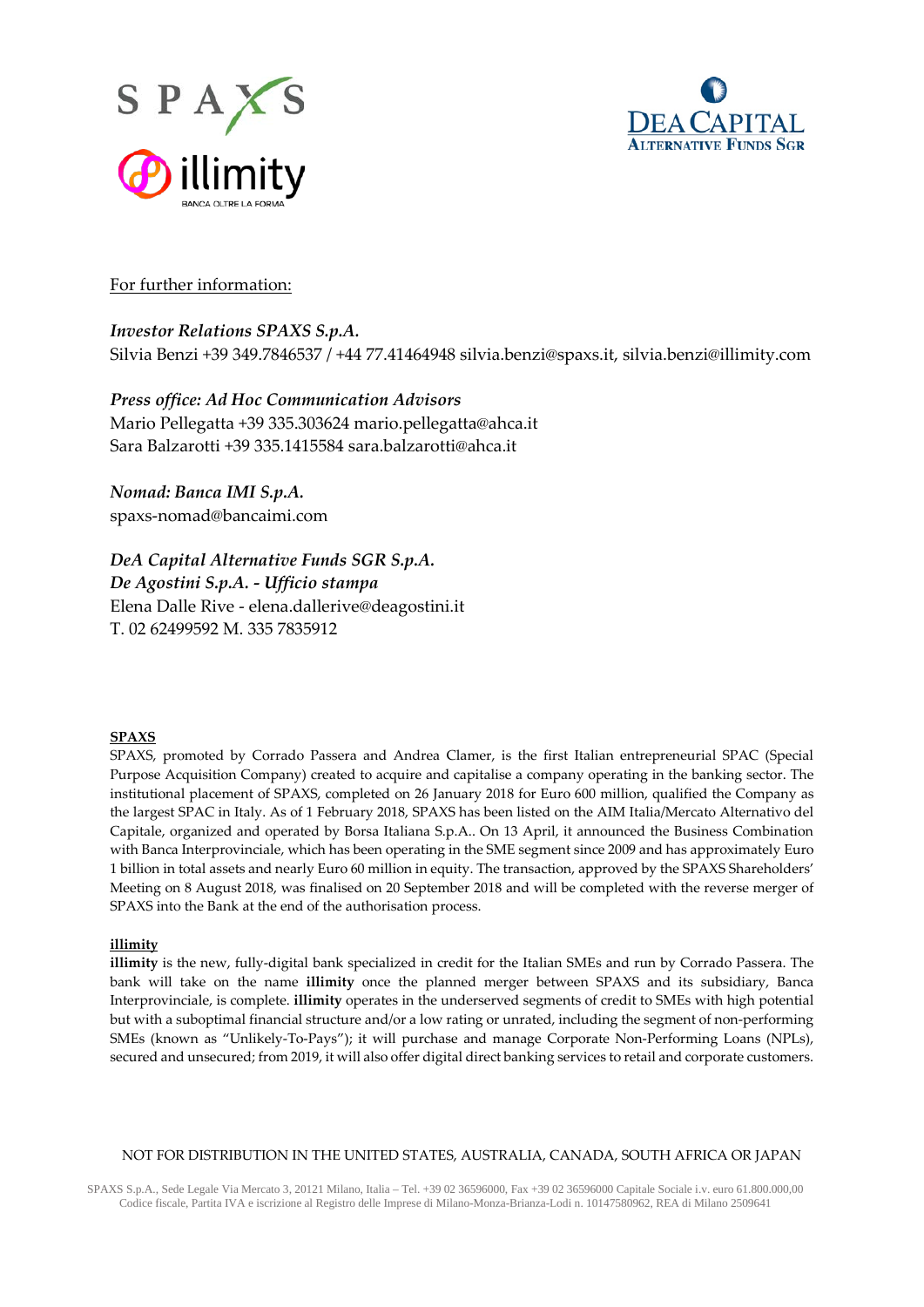



## For further information:

## *Investor Relations SPAXS S.p.A.*

Silvia Benzi +39 349.7846537 / +44 77.41464948 silvia.benzi@spaxs.it, [silvia.benzi@illimity.com](mailto:silvia.benzi@illimity.it)

## *Press office: Ad Hoc Communication Advisors*

Mario Pellegatta +39 335.303624 [mario.pellegatta@ahca.it](mailto:mario.pellegatta@ahca.it) Sara Balzarotti +39 335.1415584 [sara.balzarotti@ahca.it](mailto:sara.balzarotti@ahca.it)

*Nomad: Banca IMI S.p.A.* spaxs-nomad@bancaimi.com

*DeA Capital Alternative Funds SGR S.p.A. De Agostini S.p.A. - Ufficio stampa* Elena Dalle Rive - [elena.dallerive@deagostini.it](mailto:elena.dallerive@deagostini.it) T. 02 62499592 M. 335 7835912

#### **SPAXS**

SPAXS, promoted by Corrado Passera and Andrea Clamer, is the first Italian entrepreneurial SPAC (Special Purpose Acquisition Company) created to acquire and capitalise a company operating in the banking sector. The institutional placement of SPAXS, completed on 26 January 2018 for Euro 600 million, qualified the Company as the largest SPAC in Italy. As of 1 February 2018, SPAXS has been listed on the AIM Italia/Mercato Alternativo del Capitale, organized and operated by Borsa Italiana S.p.A.. On 13 April, it announced the Business Combination with Banca Interprovinciale, which has been operating in the SME segment since 2009 and has approximately Euro 1 billion in total assets and nearly Euro 60 million in equity. The transaction, approved by the SPAXS Shareholders' Meeting on 8 August 2018, was finalised on 20 September 2018 and will be completed with the reverse merger of SPAXS into the Bank at the end of the authorisation process.

#### **illimity**

**illimity** is the new, fully-digital bank specialized in credit for the Italian SMEs and run by Corrado Passera. The bank will take on the name **illimity** once the planned merger between SPAXS and its subsidiary, Banca Interprovinciale, is complete. **illimity** operates in the underserved segments of credit to SMEs with high potential but with a suboptimal financial structure and/or a low rating or unrated, including the segment of non-performing SMEs (known as "Unlikely-To-Pays"); it will purchase and manage Corporate Non-Performing Loans (NPLs), secured and unsecured; from 2019, it will also offer digital direct banking services to retail and corporate customers.

#### NOT FOR DISTRIBUTION IN THE UNITED STATES, AUSTRALIA, CANADA, SOUTH AFRICA OR JAPAN

SPAXS S.p.A., Sede Legale Via Mercato 3, 20121 Milano, Italia – Tel. +39 02 36596000, Fax +39 02 36596000 Capitale Sociale i.v. euro 61.800.000,00 Codice fiscale, Partita IVA e iscrizione al Registro delle Imprese di Milano-Monza-Brianza-Lodi n. 10147580962, REA di Milano 2509641